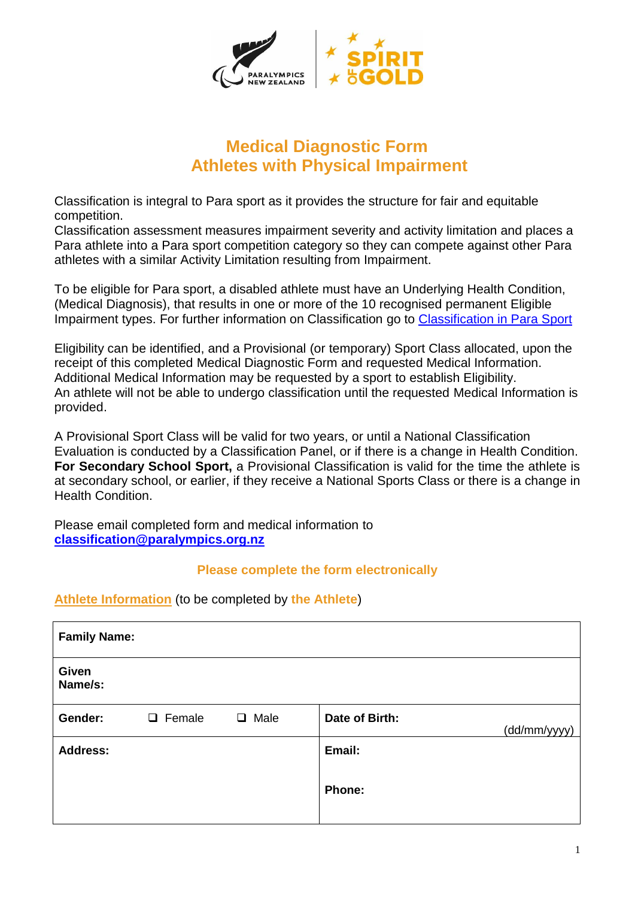

# **Medical Diagnostic Form Athletes with Physical Impairment**

Classification is integral to Para sport as it provides the structure for fair and equitable competition.

Classification assessment measures impairment severity and activity limitation and places a Para athlete into a Para sport competition category so they can compete against other Para athletes with a similar Activity Limitation resulting from Impairment.

To be eligible for Para sport, a disabled athlete must have an Underlying Health Condition, (Medical Diagnosis), that results in one or more of the 10 recognised permanent Eligible Impairment types. For further information on Classification go to [Classification in Para](http://www.paralympics.org.nz/Pathway/Classification) Sport

Eligibility can be identified, and a Provisional (or temporary) Sport Class allocated, upon the receipt of this completed Medical Diagnostic Form and requested Medical Information. Additional Medical Information may be requested by a sport to establish Eligibility. An athlete will not be able to undergo classification until the requested Medical Information is provided.

A Provisional Sport Class will be valid for two years, or until a National Classification Evaluation is conducted by a Classification Panel, or if there is a change in Health Condition. **For Secondary School Sport,** a Provisional Classification is valid for the time the athlete is at secondary school, or earlier, if they receive a National Sports Class or there is a change in Health Condition.

Please email completed form and medical information to **[classification@paralympics.org.nz](mailto:classification@paralympics.org.nz)**

### **Please complete the form electronically**

## **Athlete Information** (to be completed by **the Athlete**)

| <b>Family Name:</b> |               |             |                |              |
|---------------------|---------------|-------------|----------------|--------------|
| Given<br>Name/s:    |               |             |                |              |
| Gender:             | $\Box$ Female | $\Box$ Male | Date of Birth: | (dd/mm/yyyy) |
| <b>Address:</b>     |               |             | Email:         |              |
|                     |               |             | <b>Phone:</b>  |              |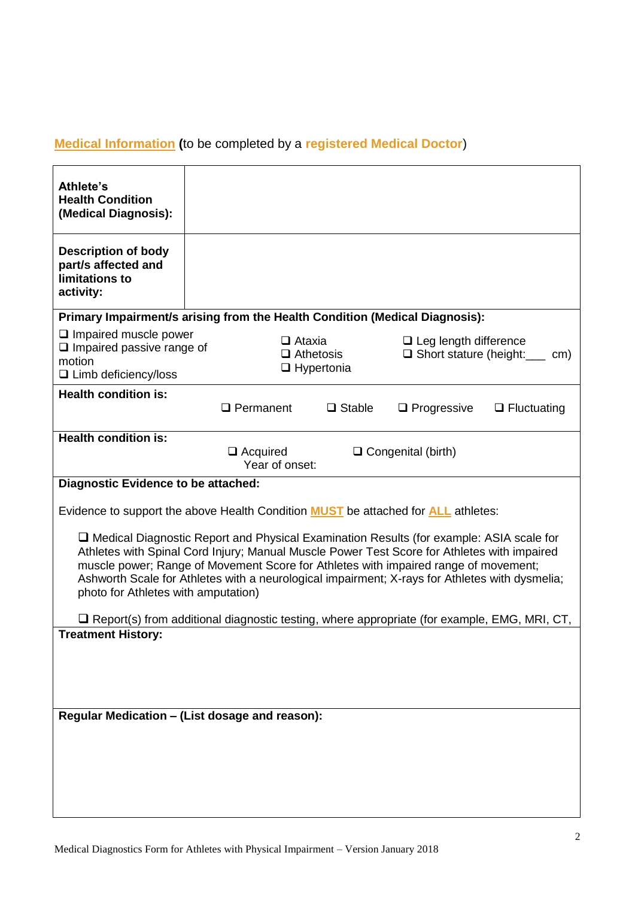## **Medical Information (**to be completed by a **registered Medical Doctor**)

| Athlete's<br><b>Health Condition</b><br>(Medical Diagnosis):                                                                                                                                                                                                                                                                                                                                                                  |                                                                                                                                |  |  |  |  |  |
|-------------------------------------------------------------------------------------------------------------------------------------------------------------------------------------------------------------------------------------------------------------------------------------------------------------------------------------------------------------------------------------------------------------------------------|--------------------------------------------------------------------------------------------------------------------------------|--|--|--|--|--|
| <b>Description of body</b><br>part/s affected and<br>limitations to<br>activity:                                                                                                                                                                                                                                                                                                                                              |                                                                                                                                |  |  |  |  |  |
| Primary Impairment/s arising from the Health Condition (Medical Diagnosis):                                                                                                                                                                                                                                                                                                                                                   |                                                                                                                                |  |  |  |  |  |
| $\Box$ Impaired muscle power<br>$\Box$ Impaired passive range of<br>motion<br>□ Limb deficiency/loss                                                                                                                                                                                                                                                                                                                          | $\Box$ Ataxia<br>$\Box$ Leg length difference<br>$\Box$ Athetosis<br>$\Box$ Short stature (height:<br>cm)<br>$\Box$ Hypertonia |  |  |  |  |  |
| <b>Health condition is:</b>                                                                                                                                                                                                                                                                                                                                                                                                   |                                                                                                                                |  |  |  |  |  |
|                                                                                                                                                                                                                                                                                                                                                                                                                               | $\Box$ Permanent<br>$\Box$ Stable<br>$\Box$ Progressive<br>$\Box$ Fluctuating                                                  |  |  |  |  |  |
| <b>Health condition is:</b>                                                                                                                                                                                                                                                                                                                                                                                                   |                                                                                                                                |  |  |  |  |  |
|                                                                                                                                                                                                                                                                                                                                                                                                                               | $\Box$ Acquired<br>$\Box$ Congenital (birth)<br>Year of onset:                                                                 |  |  |  |  |  |
| <b>Diagnostic Evidence to be attached:</b>                                                                                                                                                                                                                                                                                                                                                                                    |                                                                                                                                |  |  |  |  |  |
| Evidence to support the above Health Condition <b>MUST</b> be attached for <b>ALL</b> athletes:                                                                                                                                                                                                                                                                                                                               |                                                                                                                                |  |  |  |  |  |
| $\Box$ Medical Diagnostic Report and Physical Examination Results (for example: ASIA scale for<br>Athletes with Spinal Cord Injury; Manual Muscle Power Test Score for Athletes with impaired<br>muscle power; Range of Movement Score for Athletes with impaired range of movement;<br>Ashworth Scale for Athletes with a neurological impairment; X-rays for Athletes with dysmelia;<br>photo for Athletes with amputation) |                                                                                                                                |  |  |  |  |  |
|                                                                                                                                                                                                                                                                                                                                                                                                                               | $\Box$ Report(s) from additional diagnostic testing, where appropriate (for example, EMG, MRI, CT,                             |  |  |  |  |  |
| <b>Treatment History:</b>                                                                                                                                                                                                                                                                                                                                                                                                     |                                                                                                                                |  |  |  |  |  |
|                                                                                                                                                                                                                                                                                                                                                                                                                               |                                                                                                                                |  |  |  |  |  |
|                                                                                                                                                                                                                                                                                                                                                                                                                               |                                                                                                                                |  |  |  |  |  |
|                                                                                                                                                                                                                                                                                                                                                                                                                               |                                                                                                                                |  |  |  |  |  |
| Regular Medication - (List dosage and reason):                                                                                                                                                                                                                                                                                                                                                                                |                                                                                                                                |  |  |  |  |  |
|                                                                                                                                                                                                                                                                                                                                                                                                                               |                                                                                                                                |  |  |  |  |  |
|                                                                                                                                                                                                                                                                                                                                                                                                                               |                                                                                                                                |  |  |  |  |  |
|                                                                                                                                                                                                                                                                                                                                                                                                                               |                                                                                                                                |  |  |  |  |  |
|                                                                                                                                                                                                                                                                                                                                                                                                                               |                                                                                                                                |  |  |  |  |  |
|                                                                                                                                                                                                                                                                                                                                                                                                                               |                                                                                                                                |  |  |  |  |  |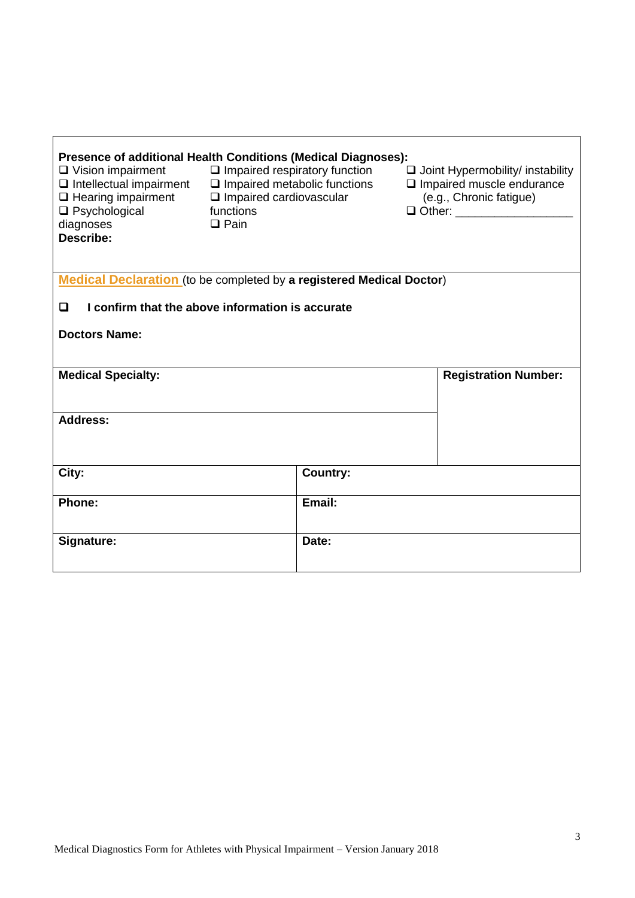| $\Box$ Vision impairment<br>$\Box$ Intellectual impairment<br>$\Box$ Hearing impairment<br>$\Box$ Psychological<br>diagnoses<br>Describe: | Presence of additional Health Conditions (Medical Diagnoses):<br>$\Box$ Impaired respiratory function<br>$\Box$ Impaired metabolic functions<br>$\Box$ Impaired cardiovascular<br>functions<br>$\Box$ Pain | $\Box$ Joint Hypermobility/ instability<br>$\Box$ Impaired muscle endurance<br>(e.g., Chronic fatigue)<br>□ Other: ____________________ |  |  |  |  |
|-------------------------------------------------------------------------------------------------------------------------------------------|------------------------------------------------------------------------------------------------------------------------------------------------------------------------------------------------------------|-----------------------------------------------------------------------------------------------------------------------------------------|--|--|--|--|
| <b>Medical Declaration</b> (to be completed by a registered Medical Doctor)                                                               |                                                                                                                                                                                                            |                                                                                                                                         |  |  |  |  |
| I confirm that the above information is accurate<br>Q                                                                                     |                                                                                                                                                                                                            |                                                                                                                                         |  |  |  |  |
| <b>Doctors Name:</b>                                                                                                                      |                                                                                                                                                                                                            |                                                                                                                                         |  |  |  |  |
| <b>Medical Specialty:</b>                                                                                                                 |                                                                                                                                                                                                            | <b>Registration Number:</b>                                                                                                             |  |  |  |  |
| <b>Address:</b>                                                                                                                           |                                                                                                                                                                                                            |                                                                                                                                         |  |  |  |  |
| City:                                                                                                                                     | <b>Country:</b>                                                                                                                                                                                            |                                                                                                                                         |  |  |  |  |
| Phone:                                                                                                                                    | Email:                                                                                                                                                                                                     |                                                                                                                                         |  |  |  |  |
| Signature:                                                                                                                                | Date:                                                                                                                                                                                                      |                                                                                                                                         |  |  |  |  |